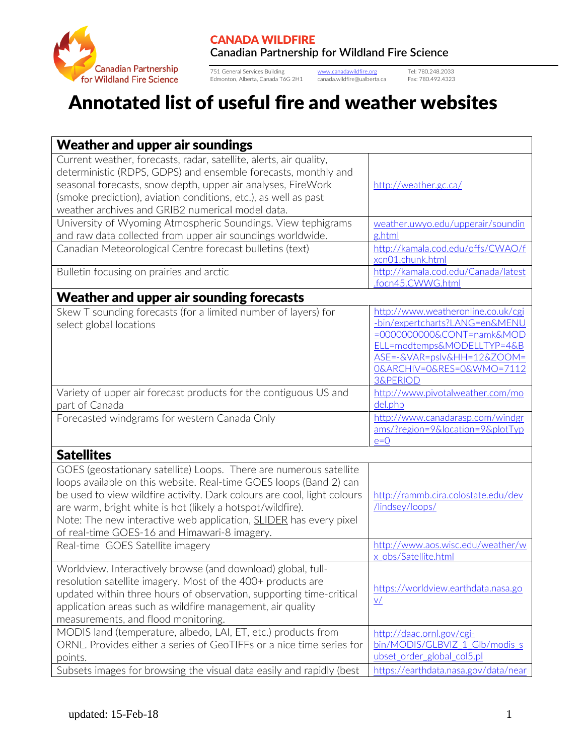

751 General Services Building [www.canadawildfire.org](http://www.canadawildfire.org/) Tel: 780.248.2033 Edmonton, Alberta, Canada T6G 2H1 canada.wildfire@ualberta.ca Fax: 780.492.4323

## Annotated list of useful fire and weather websites

| <b>Weather and upper air soundings</b>                                                                                                                                                                                                                                                                                                                                                                        |                                                                                                                                                                                                                    |  |
|---------------------------------------------------------------------------------------------------------------------------------------------------------------------------------------------------------------------------------------------------------------------------------------------------------------------------------------------------------------------------------------------------------------|--------------------------------------------------------------------------------------------------------------------------------------------------------------------------------------------------------------------|--|
| Current weather, forecasts, radar, satellite, alerts, air quality,<br>deterministic (RDPS, GDPS) and ensemble forecasts, monthly and<br>seasonal forecasts, snow depth, upper air analyses, FireWork<br>(smoke prediction), aviation conditions, etc.), as well as past<br>weather archives and GRIB2 numerical model data.                                                                                   | http://weather.gc.ca/                                                                                                                                                                                              |  |
| University of Wyoming Atmospheric Soundings. View tephigrams<br>and raw data collected from upper air soundings worldwide.                                                                                                                                                                                                                                                                                    | weather.uwyo.edu/upperair/soundin<br>g.html                                                                                                                                                                        |  |
| Canadian Meteorological Centre forecast bulletins (text)                                                                                                                                                                                                                                                                                                                                                      | http://kamala.cod.edu/offs/CWAO/f<br>xcn01.chunk.html                                                                                                                                                              |  |
| Bulletin focusing on prairies and arctic                                                                                                                                                                                                                                                                                                                                                                      | http://kamala.cod.edu/Canada/latest<br>.focn45.CWWG.html                                                                                                                                                           |  |
| Weather and upper air sounding forecasts                                                                                                                                                                                                                                                                                                                                                                      |                                                                                                                                                                                                                    |  |
| Skew T sounding forecasts (for a limited number of layers) for<br>select global locations                                                                                                                                                                                                                                                                                                                     | http://www.weatheronline.co.uk/cgi<br>-bin/expertcharts?LANG=en&MENU<br>=00000000000&CONT=namk&MOD<br>ELL=modtemps&MODELLTYP=4&B<br>ASE=-&VAR=pslv&HH=12&ZOOM=<br>O&ARCHIV=0&RES=0&WMO=7112<br><b>3&amp;PERIOD</b> |  |
| Variety of upper air forecast products for the contiguous US and<br>part of Canada                                                                                                                                                                                                                                                                                                                            | http://www.pivotalweather.com/mo<br>del.php                                                                                                                                                                        |  |
| Forecasted windgrams for western Canada Only                                                                                                                                                                                                                                                                                                                                                                  | http://www.canadarasp.com/windgr<br>ams/?region=9&location=9&plotTyp<br>$e=0$                                                                                                                                      |  |
| <b>Satellites</b>                                                                                                                                                                                                                                                                                                                                                                                             |                                                                                                                                                                                                                    |  |
| GOES (geostationary satellite) Loops. There are numerous satellite<br>loops available on this website. Real-time GOES loops (Band 2) can<br>be used to view wildfire activity. Dark colours are cool, light colours<br>are warm, bright white is hot (likely a hotspot/wildfire).<br>Note: The new interactive web application, <b>SLIDER</b> has every pixel<br>of real-time GOES-16 and Himawari-8 imagery. | http://rammb.cira.colostate.edu/dev<br>/lindsey/loops/                                                                                                                                                             |  |
| Real-time GOES Satellite imagery                                                                                                                                                                                                                                                                                                                                                                              | http://www.aos.wisc.edu/weather/w<br>x obs/Satellite.html                                                                                                                                                          |  |
| Worldview. Interactively browse (and download) global, full-<br>resolution satellite imagery. Most of the 400+ products are<br>updated within three hours of observation, supporting time-critical<br>application areas such as wildfire management, air quality<br>measurements, and flood monitoring.                                                                                                       | https://worldview.earthdata.nasa.go<br>$\underline{V}$                                                                                                                                                             |  |
| MODIS land (temperature, albedo, LAI, ET, etc.) products from<br>ORNL. Provides either a series of GeoTIFFs or a nice time series for<br>points.<br>Subsets images for browsing the visual data easily and rapidly (best                                                                                                                                                                                      | http://daac.ornl.gov/cgi-<br>bin/MODIS/GLBVIZ 1 Glb/modis s<br>ubset order global col5.pl<br>https://earthdata.nasa.gov/data/near                                                                                  |  |
|                                                                                                                                                                                                                                                                                                                                                                                                               |                                                                                                                                                                                                                    |  |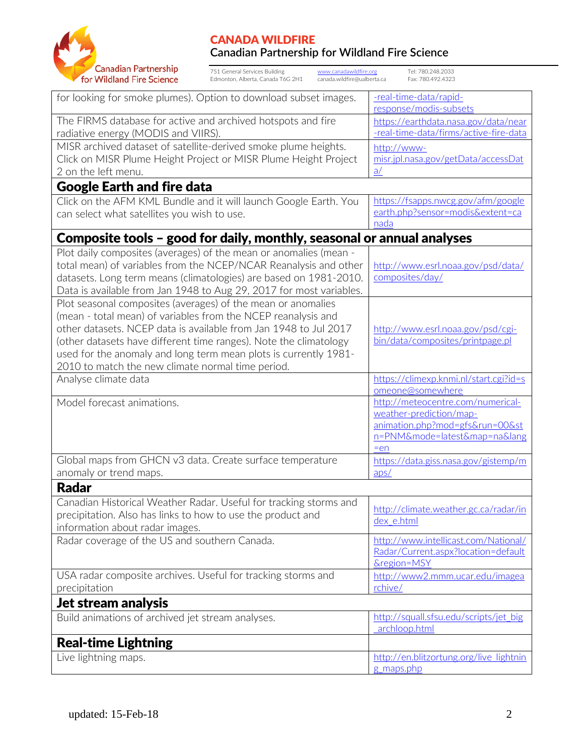

| Canadian Partnership<br>751 General Services Building<br>Tel: 780.248.2033<br>www.canadawildfire.org<br>for Wildland Fire Science<br>Edmonton, Alberta, Canada T6G 2H1<br>canada.wildfire@ualberta.ca<br>Fax: 780.492.4323 |                                                                       |
|----------------------------------------------------------------------------------------------------------------------------------------------------------------------------------------------------------------------------|-----------------------------------------------------------------------|
| for looking for smoke plumes). Option to download subset images.                                                                                                                                                           | -real-time-data/rapid-                                                |
|                                                                                                                                                                                                                            | response/modis-subsets                                                |
| The FIRMS database for active and archived hotspots and fire                                                                                                                                                               | https://earthdata.nasa.gov/data/near                                  |
| radiative energy (MODIS and VIIRS).                                                                                                                                                                                        | -real-time-data/firms/active-fire-data                                |
| MISR archived dataset of satellite-derived smoke plume heights.                                                                                                                                                            | http://www-                                                           |
| Click on MISR Plume Height Project or MISR Plume Height Project                                                                                                                                                            | misr.jpl.nasa.gov/getData/accessDat                                   |
| 2 on the left menu.                                                                                                                                                                                                        | $\underline{a}/$                                                      |
| <b>Google Earth and fire data</b>                                                                                                                                                                                          |                                                                       |
| Click on the AFM KML Bundle and it will launch Google Earth. You                                                                                                                                                           | https://fsapps.nwcg.gov/afm/google                                    |
| can select what satellites you wish to use.                                                                                                                                                                                | earth.php?sensor=modis&extent=ca<br>nada                              |
| Composite tools – good for daily, monthly, seasonal or annual analyses                                                                                                                                                     |                                                                       |
| Plot daily composites (averages) of the mean or anomalies (mean -                                                                                                                                                          |                                                                       |
| total mean) of variables from the NCEP/NCAR Reanalysis and other                                                                                                                                                           | http://www.esrl.noaa.gov/psd/data/                                    |
| datasets. Long term means (climatologies) are based on 1981-2010.                                                                                                                                                          | composites/day/                                                       |
| Data is available from Jan 1948 to Aug 29, 2017 for most variables.                                                                                                                                                        |                                                                       |
| Plot seasonal composites (averages) of the mean or anomalies                                                                                                                                                               |                                                                       |
| (mean - total mean) of variables from the NCEP reanalysis and<br>other datasets. NCEP data is available from Jan 1948 to Jul 2017                                                                                          |                                                                       |
| (other datasets have different time ranges). Note the climatology                                                                                                                                                          | http://www.esrl.noaa.gov/psd/cgi-<br>bin/data/composites/printpage.pl |
| used for the anomaly and long term mean plots is currently 1981-                                                                                                                                                           |                                                                       |
| 2010 to match the new climate normal time period.                                                                                                                                                                          |                                                                       |
| Analyse climate data                                                                                                                                                                                                       | https://climexp.knmi.nl/start.cgi?id=s<br>omeone@somewhere            |
| Model forecast animations.                                                                                                                                                                                                 | http://meteocentre.com/numerical-                                     |
|                                                                                                                                                                                                                            | weather-prediction/map-                                               |
|                                                                                                                                                                                                                            | animation.php?mod=gfs&run=00&st<br>n=PNM&mode=latest↦=na⟨             |
|                                                                                                                                                                                                                            | $=en$                                                                 |
| Global maps from GHCN v3 data. Create surface temperature                                                                                                                                                                  | https://data.giss.nasa.gov/gistemp/m                                  |
| anomaly or trend maps.                                                                                                                                                                                                     | aps/                                                                  |
| <b>Radar</b>                                                                                                                                                                                                               |                                                                       |
| Canadian Historical Weather Radar. Useful for tracking storms and                                                                                                                                                          |                                                                       |
| precipitation. Also has links to how to use the product and                                                                                                                                                                | http://climate.weather.gc.ca/radar/in<br>dex e.html                   |
| information about radar images.                                                                                                                                                                                            |                                                                       |
| Radar coverage of the US and southern Canada.                                                                                                                                                                              | http://www.intellicast.com/National/                                  |
|                                                                                                                                                                                                                            | Radar/Current.aspx?location=default                                   |
| USA radar composite archives. Useful for tracking storms and                                                                                                                                                               | <b><u>&amp;region=MSY</u></b><br>http://www2.mmm.ucar.edu/imagea      |
| precipitation                                                                                                                                                                                                              | rchive/                                                               |
| Jet stream analysis                                                                                                                                                                                                        |                                                                       |
| Build animations of archived jet stream analyses.                                                                                                                                                                          | http://squall.sfsu.edu/scripts/jet big                                |
|                                                                                                                                                                                                                            | archloop.html                                                         |
| <b>Real-time Lightning</b>                                                                                                                                                                                                 |                                                                       |
| Live lightning maps.                                                                                                                                                                                                       | http://en.blitzortung.org/live_lightnin                               |
|                                                                                                                                                                                                                            | g maps.php                                                            |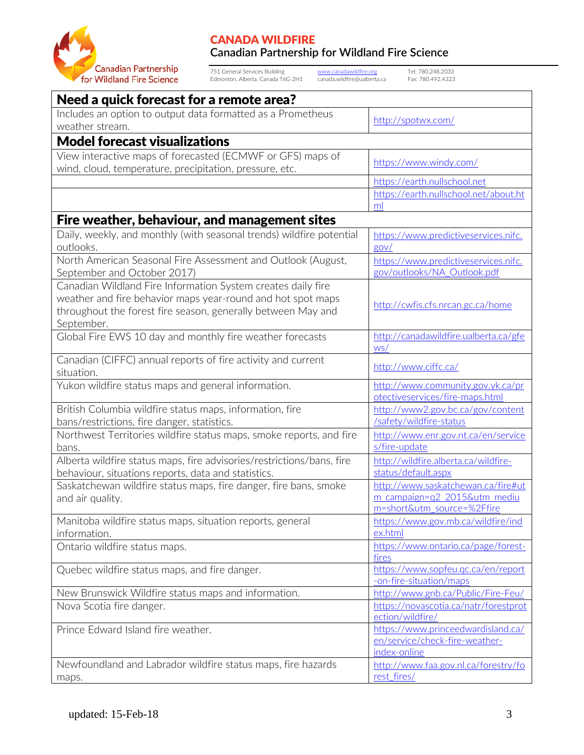

751 General Services Building [www.canadawildfire.org](http://www.canadawildfire.org/) Tel: 780.248.2033 Edmonton, Alberta, Canada T6G 2H1 canada.wildfire@ualberta.ca Fax: 780.492.4323

| Need a quick forecast for a remote area?                                                                                     |                                                                       |  |
|------------------------------------------------------------------------------------------------------------------------------|-----------------------------------------------------------------------|--|
| Includes an option to output data formatted as a Prometheus<br>weather stream.                                               | http://spotwx.com/                                                    |  |
| <b>Model forecast visualizations</b>                                                                                         |                                                                       |  |
| View interactive maps of forecasted (ECMWF or GFS) maps of<br>wind, cloud, temperature, precipitation, pressure, etc.        | https://www.windy.com/                                                |  |
|                                                                                                                              | https://earth.nullschool.net<br>https://earth.nullschool.net/about.ht |  |
|                                                                                                                              | ml                                                                    |  |
| Fire weather, behaviour, and management sites                                                                                |                                                                       |  |
| Daily, weekly, and monthly (with seasonal trends) wildfire potential<br>outlooks.                                            | https://www.predictiveservices.nifc.<br>gov/                          |  |
| North American Seasonal Fire Assessment and Outlook (August,<br>September and October 2017)                                  | https://www.predictiveservices.nifc.<br>gov/outlooks/NA Outlook.pdf   |  |
| Canadian Wildland Fire Information System creates daily fire                                                                 |                                                                       |  |
| weather and fire behavior maps year-round and hot spot maps<br>throughout the forest fire season, generally between May and  | http://cwfis.cfs.nrcan.gc.ca/home                                     |  |
| September.                                                                                                                   |                                                                       |  |
| Global Fire EWS 10 day and monthly fire weather forecasts                                                                    | http://canadawildfire.ualberta.ca/gfe<br>WS/                          |  |
| Canadian (CIFFC) annual reports of fire activity and current<br>situation.                                                   | http://www.ciffc.ca/                                                  |  |
| Yukon wildfire status maps and general information.                                                                          | http://www.community.gov.yk.ca/pr<br>otectiveservices/fire-maps.html  |  |
| British Columbia wildfire status maps, information, fire<br>bans/restrictions, fire danger, statistics.                      | http://www2.gov.bc.ca/gov/content<br>/safety/wildfire-status          |  |
| Northwest Territories wildfire status maps, smoke reports, and fire<br>bans.                                                 | http://www.enr.gov.nt.ca/en/service<br>s/fire-update                  |  |
| Alberta wildfire status maps, fire advisories/restrictions/bans, fire<br>behaviour, situations reports, data and statistics. | http://wildfire.alberta.ca/wildfire-<br>status/default.aspx           |  |
| Saskatchewan wildfire status maps, fire danger, fire bans, smoke                                                             | http://www.saskatchewan.ca/fire#ut                                    |  |
| and air quality.                                                                                                             | m campaign=q2 2015&utm mediu<br>m=short&utm_source=%2Ffire            |  |
| Manitoba wildfire status maps, situation reports, general<br>information.                                                    | https://www.gov.mb.ca/wildfire/ind<br>ex.html                         |  |
| Ontario wildfire status maps.                                                                                                | https://www.ontario.ca/page/forest-<br>fires                          |  |
| Quebec wildfire status maps, and fire danger.                                                                                | https://www.sopfeu.qc.ca/en/report<br>-on-fire-situation/maps         |  |
| New Brunswick Wildfire status maps and information.                                                                          | http://www.gnb.ca/Public/Fire-Feu/                                    |  |
| Nova Scotia fire danger.                                                                                                     | https://novascotia.ca/natr/forestprot<br>ection/wildfire/             |  |
| Prince Edward Island fire weather.                                                                                           | https://www.princeedwardisland.ca/                                    |  |
|                                                                                                                              | en/service/check-fire-weather-<br>index-online                        |  |
| Newfoundland and Labrador wildfire status maps, fire hazards                                                                 |                                                                       |  |
| maps.                                                                                                                        | http://www.faa.gov.nl.ca/forestry/fo<br>rest_fires/                   |  |